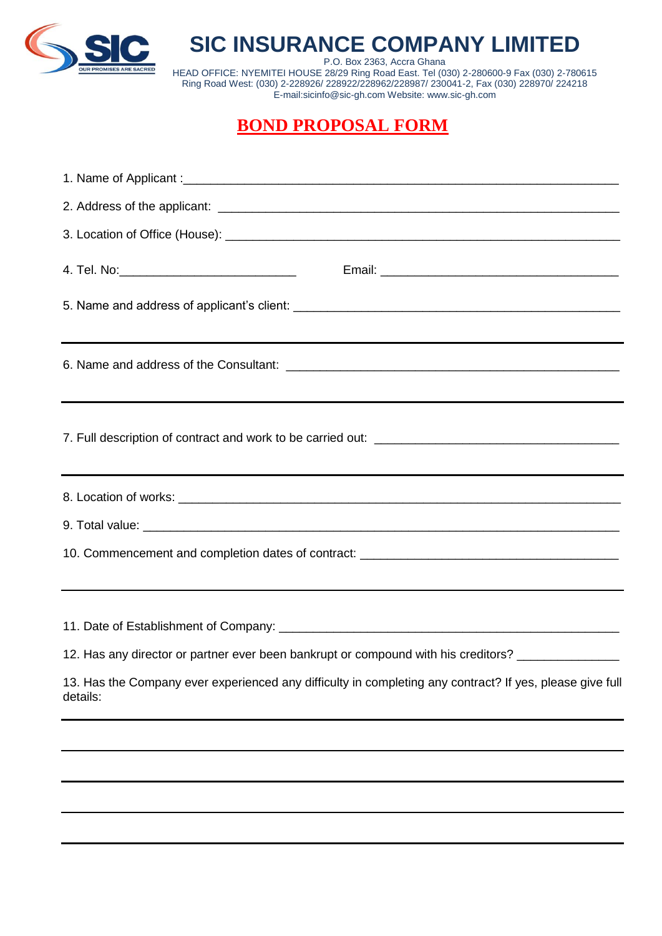

## **SIC INSURANCE COMPANY LIMITED**

P.O. Box 2363, Accra Ghana HEAD OFFICE: NYEMITEI HOUSE 28/29 Ring Road East. Tel (030) 2-280600-9 Fax (030) 2-780615 Ring Road West: (030) 2-228926/ 228922/228962/228987/ 230041-2, Fax (030) 228970/ 224218 E-mail:sicinfo@sic-gh.com Website: www.sic-gh.com

## **BOND PROPOSAL FORM**

| 4. Tel. No:_________________________________                                                                         |
|----------------------------------------------------------------------------------------------------------------------|
|                                                                                                                      |
|                                                                                                                      |
|                                                                                                                      |
|                                                                                                                      |
|                                                                                                                      |
|                                                                                                                      |
|                                                                                                                      |
| 12. Has any director or partner ever been bankrupt or compound with his creditors? ________________                  |
| 13. Has the Company ever experienced any difficulty in completing any contract? If yes, please give full<br>details: |
|                                                                                                                      |
|                                                                                                                      |
|                                                                                                                      |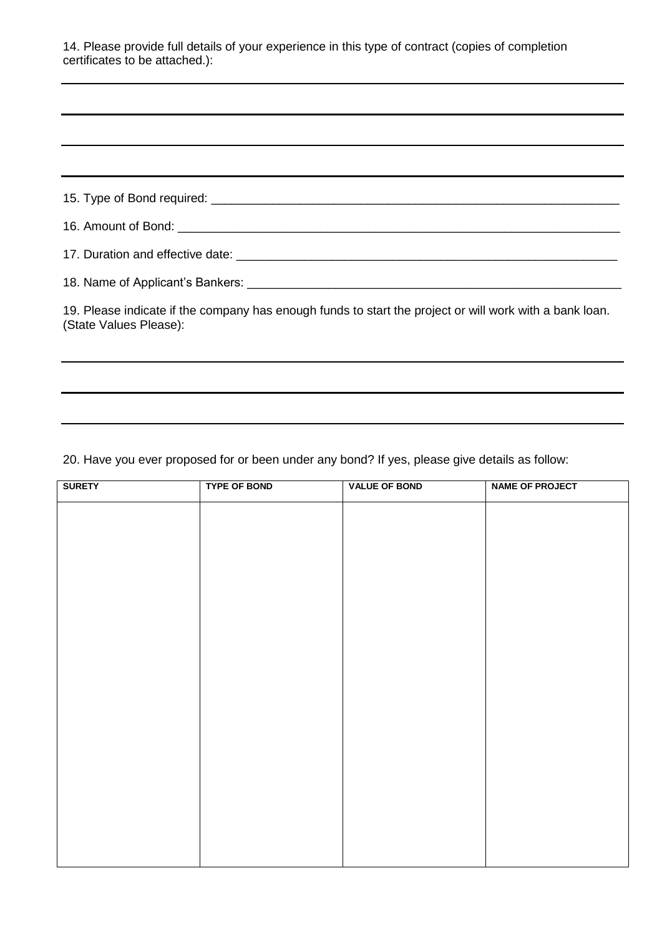14. Please provide full details of your experience in this type of contract (copies of completion certificates to be attached.):

| 19. Please indicate if the company has enough funds to start the project or will work with a bank loan.<br>(State Values Please): |
|-----------------------------------------------------------------------------------------------------------------------------------|
|                                                                                                                                   |

20. Have you ever proposed for or been under any bond? If yes, please give details as follow:

| <b>SURETY</b> | <b>TYPE OF BOND</b> | <b>VALUE OF BOND</b> | <b>NAME OF PROJECT</b> |
|---------------|---------------------|----------------------|------------------------|
|               |                     |                      |                        |
|               |                     |                      |                        |
|               |                     |                      |                        |
|               |                     |                      |                        |
|               |                     |                      |                        |
|               |                     |                      |                        |
|               |                     |                      |                        |
|               |                     |                      |                        |
|               |                     |                      |                        |
|               |                     |                      |                        |
|               |                     |                      |                        |
|               |                     |                      |                        |
|               |                     |                      |                        |
|               |                     |                      |                        |
|               |                     |                      |                        |
|               |                     |                      |                        |
|               |                     |                      |                        |
|               |                     |                      |                        |
|               |                     |                      |                        |
|               |                     |                      |                        |
|               |                     |                      |                        |
|               |                     |                      |                        |
|               |                     |                      |                        |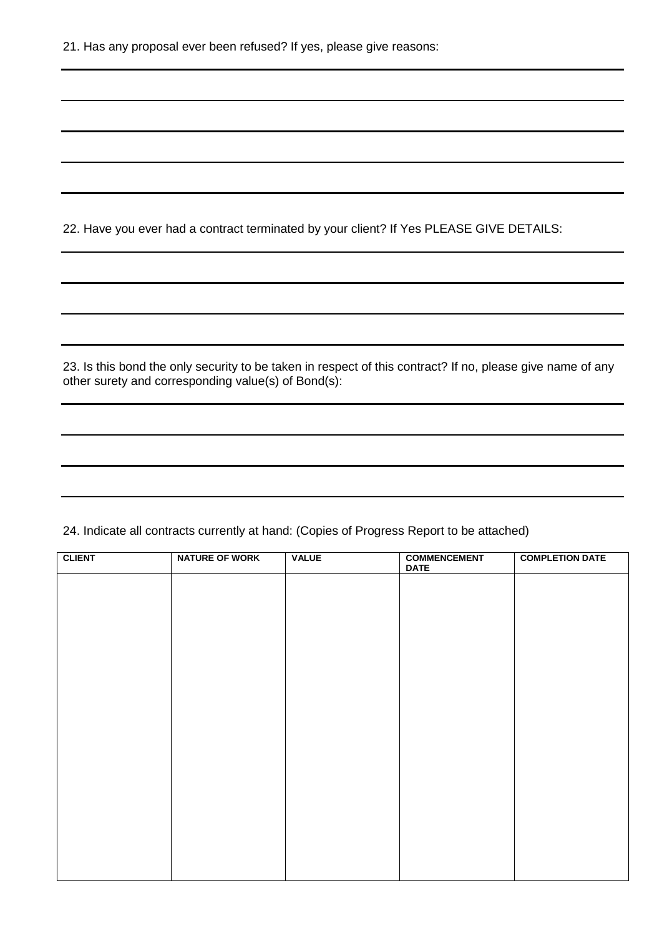22. Have you ever had a contract terminated by your client? If Yes PLEASE GIVE DETAILS:

23. Is this bond the only security to be taken in respect of this contract? If no, please give name of any other surety and corresponding value(s) of Bond(s):

24. Indicate all contracts currently at hand: (Copies of Progress Report to be attached)

| <b>CLIENT</b> | <b>NATURE OF WORK</b> | <b>VALUE</b> | <b>COMMENCEMENT</b><br><b>DATE</b> | <b>COMPLETION DATE</b> |
|---------------|-----------------------|--------------|------------------------------------|------------------------|
|               |                       |              |                                    |                        |
|               |                       |              |                                    |                        |
|               |                       |              |                                    |                        |
|               |                       |              |                                    |                        |
|               |                       |              |                                    |                        |
|               |                       |              |                                    |                        |
|               |                       |              |                                    |                        |
|               |                       |              |                                    |                        |
|               |                       |              |                                    |                        |
|               |                       |              |                                    |                        |
|               |                       |              |                                    |                        |
|               |                       |              |                                    |                        |
|               |                       |              |                                    |                        |
|               |                       |              |                                    |                        |
|               |                       |              |                                    |                        |
|               |                       |              |                                    |                        |
|               |                       |              |                                    |                        |
|               |                       |              |                                    |                        |
|               |                       |              |                                    |                        |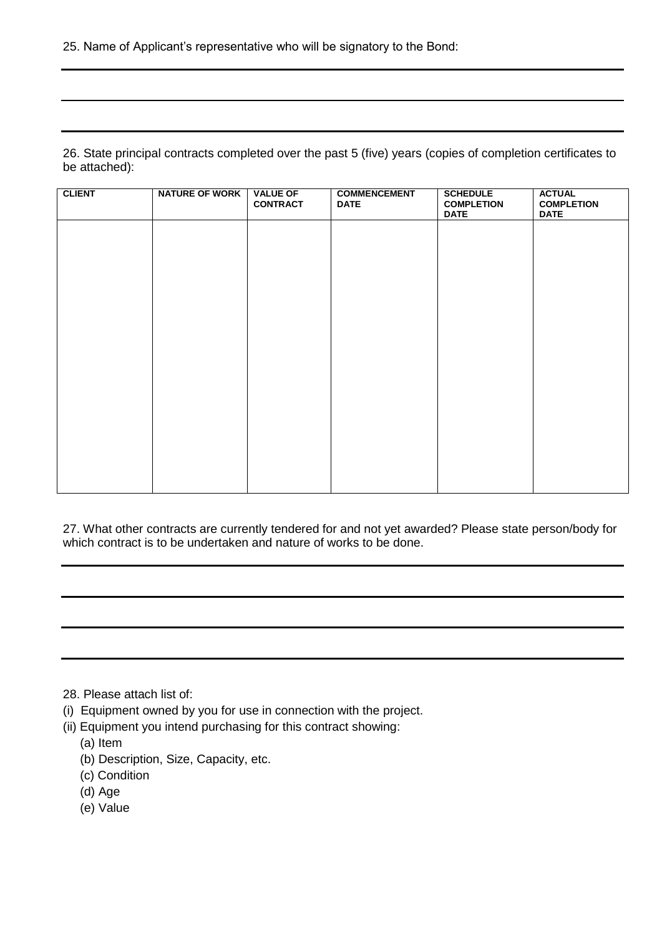26. State principal contracts completed over the past 5 (five) years (copies of completion certificates to be attached):

| <b>CLIENT</b> | <b>NATURE OF WORK</b> | <b>VALUE OF</b><br><b>CONTRACT</b> | <b>COMMENCEMENT</b><br><b>DATE</b> | <b>SCHEDULE</b><br><b>COMPLETION</b><br><b>DATE</b> | <b>ACTUAL</b><br><b>COMPLETION</b><br><b>DATE</b> |
|---------------|-----------------------|------------------------------------|------------------------------------|-----------------------------------------------------|---------------------------------------------------|
|               |                       |                                    |                                    |                                                     |                                                   |
|               |                       |                                    |                                    |                                                     |                                                   |
|               |                       |                                    |                                    |                                                     |                                                   |
|               |                       |                                    |                                    |                                                     |                                                   |
|               |                       |                                    |                                    |                                                     |                                                   |
|               |                       |                                    |                                    |                                                     |                                                   |
|               |                       |                                    |                                    |                                                     |                                                   |
|               |                       |                                    |                                    |                                                     |                                                   |
|               |                       |                                    |                                    |                                                     |                                                   |

27. What other contracts are currently tendered for and not yet awarded? Please state person/body for which contract is to be undertaken and nature of works to be done.

- 28. Please attach list of:
- (i) Equipment owned by you for use in connection with the project.
- (ii) Equipment you intend purchasing for this contract showing:
	- (a) Item
	- (b) Description, Size, Capacity, etc.
	- (c) Condition
	- (d) Age
	- (e) Value